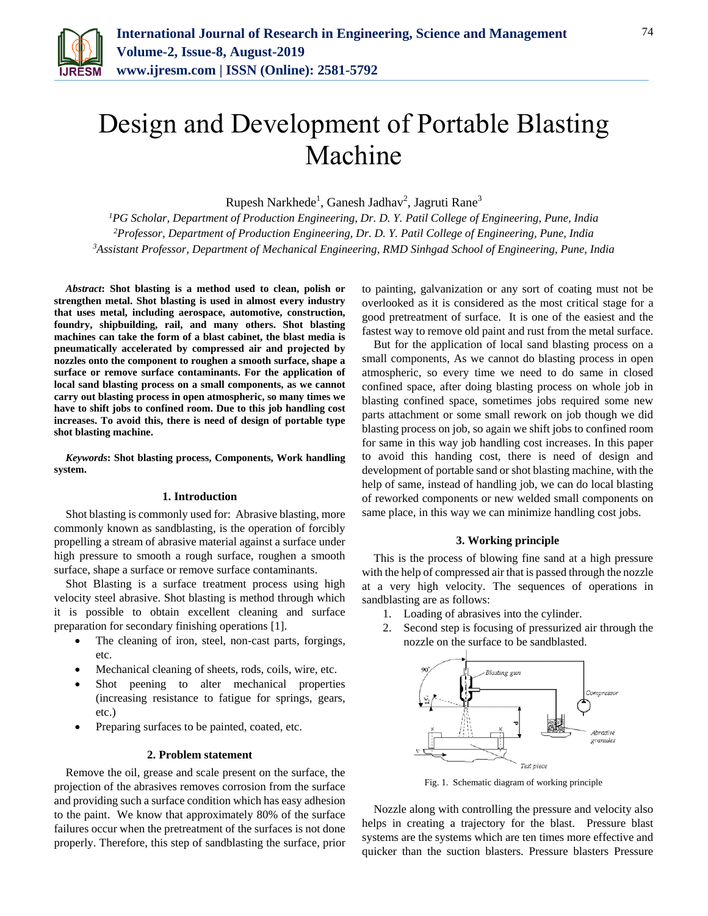

# Design and Development of Portable Blasting Machine

Rupesh Narkhede<sup>1</sup>, Ganesh Jadhav<sup>2</sup>, Jagruti Rane<sup>3</sup>

*<sup>1</sup>PG Scholar, Department of Production Engineering, Dr. D. Y. Patil College of Engineering, Pune, India <sup>2</sup>Professor, Department of Production Engineering, Dr. D. Y. Patil College of Engineering, Pune, India <sup>3</sup>Assistant Professor, Department of Mechanical Engineering, RMD Sinhgad School of Engineering, Pune, India*

*Abstract***: Shot blasting is a method used to clean, polish or strengthen metal. Shot blasting is used in almost every industry that uses metal, including aerospace, automotive, construction, foundry, shipbuilding, rail, and many others. Shot blasting machines can take the form of a blast cabinet, the blast media is pneumatically accelerated by compressed air and projected by nozzles onto the component to roughen a smooth surface, shape a surface or remove surface contaminants. For the application of local sand blasting process on a small components, as we cannot carry out blasting process in open atmospheric, so many times we have to shift jobs to confined room. Due to this job handling cost increases. To avoid this, there is need of design of portable type shot blasting machine.**

*Keywords***: Shot blasting process, Components, Work handling system.**

# **1. Introduction**

Shot blasting is commonly used for: Abrasive blasting, more commonly known as sandblasting, is the operation of forcibly propelling a stream of abrasive material against a surface under high pressure to smooth a rough surface, roughen a smooth surface, shape a surface or remove surface contaminants.

Shot Blasting is a surface treatment process using high velocity steel abrasive. Shot blasting is method through which it is possible to obtain excellent cleaning and surface preparation for secondary finishing operations [1].

- The cleaning of iron, steel, non-cast parts, forgings, etc.
- Mechanical cleaning of sheets, rods, coils, wire, etc.
- Shot peening to alter mechanical properties (increasing resistance to fatigue for springs, gears, etc.)
- Preparing surfaces to be painted, coated, etc.

#### **2. Problem statement**

Remove the oil, grease and scale present on the surface, the projection of the abrasives removes corrosion from the surface and providing such a surface condition which has easy adhesion to the paint. We know that approximately 80% of the surface failures occur when the pretreatment of the surfaces is not done properly. Therefore, this step of sandblasting the surface, prior to painting, galvanization or any sort of coating must not be overlooked as it is considered as the most critical stage for a good pretreatment of surface. It is one of the easiest and the fastest way to remove old paint and rust from the metal surface.

But for the application of local sand blasting process on a small components, As we cannot do blasting process in open atmospheric, so every time we need to do same in closed confined space, after doing blasting process on whole job in blasting confined space, sometimes jobs required some new parts attachment or some small rework on job though we did blasting process on job, so again we shift jobs to confined room for same in this way job handling cost increases. In this paper to avoid this handing cost, there is need of design and development of portable sand or shot blasting machine, with the help of same, instead of handling job, we can do local blasting of reworked components or new welded small components on same place, in this way we can minimize handling cost jobs.

# **3. Working principle**

This is the process of blowing fine sand at a high pressure with the help of compressed air that is passed through the nozzle at a very high velocity. The sequences of operations in sandblasting are as follows:

- 1. Loading of abrasives into the cylinder.
- 2. Second step is focusing of pressurized air through the nozzle on the surface to be sandblasted.



Fig. 1. Schematic diagram of working principle

Nozzle along with controlling the pressure and velocity also helps in creating a trajectory for the blast. Pressure blast systems are the systems which are ten times more effective and quicker than the suction blasters. Pressure blasters Pressure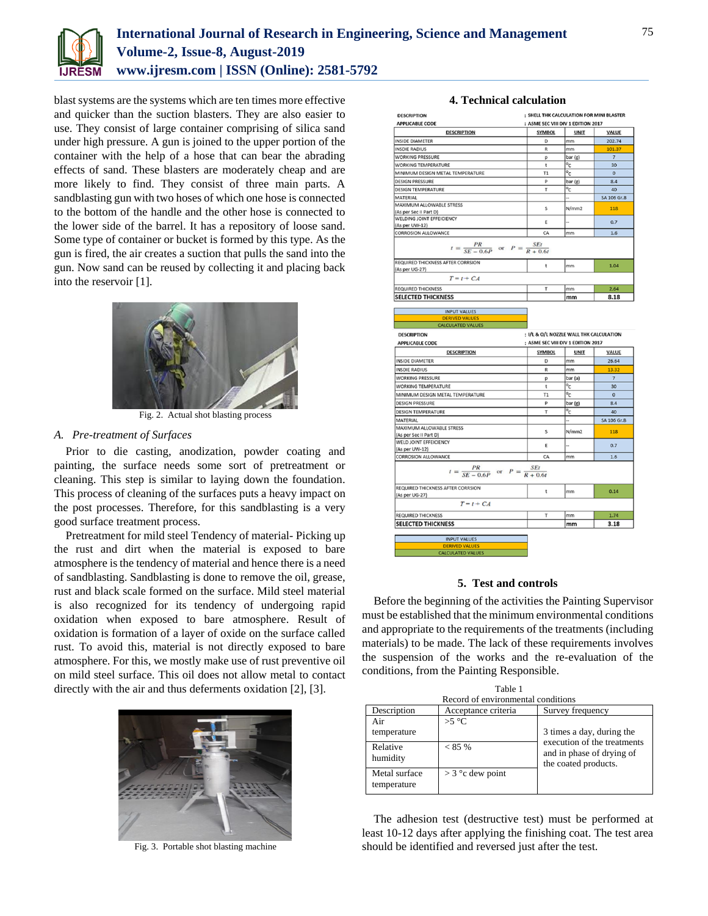

# **International Journal of Research in Engineering, Science and Management Volume-2, Issue-8, August-2019 www.ijresm.com | ISSN (Online): 2581-5792**

blast systems are the systems which are ten times more effective and quicker than the suction blasters. They are also easier to use. They consist of large container comprising of silica sand under high pressure. A gun is joined to the upper portion of the container with the help of a hose that can bear the abrading effects of sand. These blasters are moderately cheap and are more likely to find. They consist of three main parts. A sandblasting gun with two hoses of which one hose is connected to the bottom of the handle and the other hose is connected to the lower side of the barrel. It has a repository of loose sand. Some type of container or bucket is formed by this type. As the gun is fired, the air creates a suction that pulls the sand into the gun. Now sand can be reused by collecting it and placing back into the reservoir [1].



Fig. 2. Actual shot blasting process

# *A. Pre-treatment of Surfaces*

Prior to die casting, anodization, powder coating and painting, the surface needs some sort of pretreatment or cleaning. This step is similar to laying down the foundation. This process of cleaning of the surfaces puts a heavy impact on the post processes. Therefore, for this sandblasting is a very good surface treatment process.

Pretreatment for mild steel Tendency of material- Picking up the rust and dirt when the material is exposed to bare atmosphere is the tendency of material and hence there is a need of sandblasting. Sandblasting is done to remove the oil, grease, rust and black scale formed on the surface. Mild steel material is also recognized for its tendency of undergoing rapid oxidation when exposed to bare atmosphere. Result of oxidation is formation of a layer of oxide on the surface called rust. To avoid this, material is not directly exposed to bare atmosphere. For this, we mostly make use of rust preventive oil on mild steel surface. This oil does not allow metal to contact directly with the air and thus deferments oxidation [2], [3].



Fig. 3. Portable shot blasting machine

| <b>APPLICABLE CODE</b>                                                                                         | : ASME SEC VIII DIV 1 EDITION 2017        |                                 |                     |
|----------------------------------------------------------------------------------------------------------------|-------------------------------------------|---------------------------------|---------------------|
| <b>DESCRIPTION</b>                                                                                             | <b>SYMBOL</b>                             | <b>UNIT</b>                     | VALUE               |
| <b>INSIDE DIAMETER</b>                                                                                         | D                                         | mm                              | 202.74              |
| <b>INSDIE RADIUS</b>                                                                                           | R                                         | mm                              | 101.37              |
| WORKING PRESSURE                                                                                               |                                           | bar (g)                         | $\overline{7}$      |
| <b>WORKING TEMPERATURE</b>                                                                                     | р<br>t                                    | $\overline{c}$                  | 30                  |
| MINIMUM DESIGN METAL TEMPERATURE                                                                               | T1                                        | $\overline{\circ}_{\mathsf{C}}$ | $\circ$             |
|                                                                                                                | D                                         |                                 | 8.4                 |
| <b>DESIGN PRESSURE</b>                                                                                         | т                                         | bar (g)<br>$^{\circ}$ c         |                     |
| <b>DESIGN TEMPERATURE</b><br>MATERIAL                                                                          |                                           |                                 | 40<br>SA 106 Gr.B   |
| MAXIMUM ALLOWABLE STRESS                                                                                       |                                           |                                 |                     |
| (As per Sec II Part D)                                                                                         | S                                         | N/mm2                           | 118                 |
| WELDING JOINT EFFEICIENCY                                                                                      |                                           |                                 |                     |
| (As per UW-12)                                                                                                 | E                                         |                                 | 0.7                 |
| <b>CORROSION ALLOWANCE</b>                                                                                     | CA                                        | mm                              | 1.6                 |
| $t = \frac{PR}{SE - 0.6P}$ or $P = \frac{SE}{R + 0.6t}$<br>REQUIRED THICKNESS AFTER CORRSION<br>(As per UG-27) | t                                         | mm                              | 1.04                |
| $T = t + CA$                                                                                                   |                                           |                                 |                     |
| <b>REQUIRED THICKNESS</b>                                                                                      | T                                         | mm                              | 2.64                |
| <b>SELECTED THICKNESS</b>                                                                                      |                                           | mm                              | 8.18                |
|                                                                                                                |                                           |                                 |                     |
| <b>INPUT VALUES</b>                                                                                            |                                           |                                 |                     |
| <b>DERIVED VALUES</b><br><b>CALCULATED VALUES</b>                                                              |                                           |                                 |                     |
|                                                                                                                |                                           |                                 |                     |
| <b>DESCRIPTION</b>                                                                                             | : I/L & O/L NOZZLE WALL THK CALCULATION   |                                 |                     |
| <b>APPLICABLE CODE</b>                                                                                         | : ASME SEC VIII DIV 1 EDITION 2017        |                                 |                     |
| <b>DESCRIPTION</b>                                                                                             | <b>SYMBOL</b>                             | <b>UNIT</b>                     | <b>VALUE</b>        |
| <b>INSIDE DIAMETER</b>                                                                                         | D                                         | mm                              | 26.64               |
| <b>INSDIE RADIUS</b>                                                                                           | R                                         | mm                              | 13.32               |
| <b>WORKING PRESSURE</b>                                                                                        | р                                         | bar (a)                         | $\overline{7}$      |
| <b>WORKING TEMPERATURE</b>                                                                                     | t                                         | $\overline{\circ}_{\mathsf{C}}$ |                     |
|                                                                                                                |                                           |                                 | 30                  |
| MINIMUM DESIGN METAL TEMPERATURE                                                                               | T1                                        |                                 | $\circ$             |
|                                                                                                                |                                           | $\overline{\circ}_{\mathsf{C}}$ |                     |
| <b>DESIGN PRESSURE</b>                                                                                         | P                                         | bar (g)                         | 8.4                 |
| <b>DESIGN TEMPERATURE</b>                                                                                      | т                                         | $^{\circ}$ c                    | 40                  |
| <b>MATERIAL</b>                                                                                                |                                           |                                 |                     |
| MAXIMUM ALLOWABLE STRESS<br>(As per Sec II Part D)                                                             | s                                         | N/mm2                           | 118                 |
| WELD JOINT EFFEICIENCY                                                                                         |                                           |                                 |                     |
| (As per UW-12)                                                                                                 | E                                         |                                 | 0.7                 |
| <b>CORROSION ALLOWANCE</b>                                                                                     | CA                                        | mm                              | 1.6                 |
| PR<br>$t = \frac{1}{SE - 0.6P}$                                                                                | <b>SEt</b><br>or $P = \frac{R}{R + 0.6t}$ |                                 |                     |
|                                                                                                                | t                                         | mm                              | 0.14                |
| $T = t + CA$                                                                                                   |                                           |                                 |                     |
|                                                                                                                | T                                         | mm                              | 1.74                |
| REQUIRED THICKNESS AFTER CORRSION<br>(As per UG-27)<br><b>REQUIRED THICKNESS</b><br><b>SELECTED THICKNESS</b>  |                                           | mm                              | SA 106 Gr.B<br>3.18 |
|                                                                                                                |                                           |                                 |                     |
| <b>INPUT VALUES</b><br><b>DERIVED VALUES</b>                                                                   |                                           |                                 |                     |

## **5. Test and controls**

Before the beginning of the activities the Painting Supervisor must be established that the minimum environmental conditions and appropriate to the requirements of the treatments (including materials) to be made. The lack of these requirements involves the suspension of the works and the re-evaluation of the conditions, from the Painting Responsible.

| Table 1                            |                     |                                                          |  |  |
|------------------------------------|---------------------|----------------------------------------------------------|--|--|
| Record of environmental conditions |                     |                                                          |  |  |
| Description                        | Acceptance criteria | Survey frequency                                         |  |  |
| Air<br>temperature                 | $>5^{\circ}C$       | 3 times a day, during the<br>execution of the treatments |  |  |
| Relative<br>humidity               | $< 85\%$            | and in phase of drying of<br>the coated products.        |  |  |
| Metal surface<br>temperature       | $>$ 3 °c dew point  |                                                          |  |  |

The adhesion test (destructive test) must be performed at least 10-12 days after applying the finishing coat. The test area should be identified and reversed just after the test.

# **4. Technical calculation**